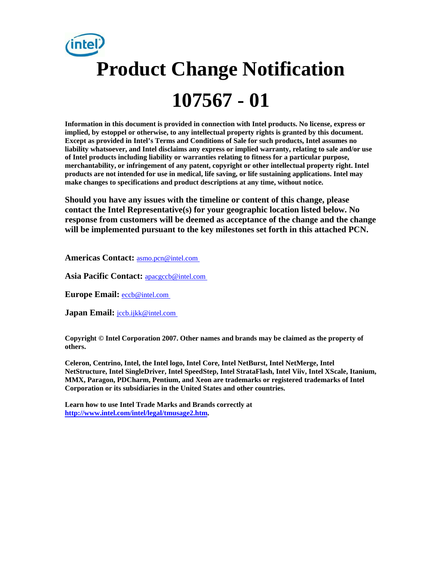# **Product Change Notification 107567 - 01**

**Information in this document is provided in connection with Intel products. No license, express or implied, by estoppel or otherwise, to any intellectual property rights is granted by this document. Except as provided in Intel's Terms and Conditions of Sale for such products, Intel assumes no liability whatsoever, and Intel disclaims any express or implied warranty, relating to sale and/or use of Intel products including liability or warranties relating to fitness for a particular purpose, merchantability, or infringement of any patent, copyright or other intellectual property right. Intel products are not intended for use in medical, life saving, or life sustaining applications. Intel may make changes to specifications and product descriptions at any time, without notice.** 

**Should you have any issues with the timeline or content of this change, please contact the Intel Representative(s) for your geographic location listed below. No response from customers will be deemed as acceptance of the change and the change will be implemented pursuant to the key milestones set forth in this attached PCN.** 

**Americas Contact:** [asmo.pcn@intel.com](mailto:asmo.pcn@intel.com) 

**Asia Pacific Contact:** [apacgccb@intel.com](mailto:apacgccb@intel.com) 

**Europe Email:** [eccb@intel.com](mailto:eccb@intel.com) 

Japan Email: **jccb.ijkk@intel.com** 

**Copyright © Intel Corporation 2007. Other names and brands may be claimed as the property of others.**

**Celeron, Centrino, Intel, the Intel logo, Intel Core, Intel NetBurst, Intel NetMerge, Intel NetStructure, Intel SingleDriver, Intel SpeedStep, Intel StrataFlash, Intel Viiv, Intel XScale, Itanium, MMX, Paragon, PDCharm, Pentium, and Xeon are trademarks or registered trademarks of Intel Corporation or its subsidiaries in the United States and other countries.** 

**Learn how to use Intel Trade Marks and Brands correctly at [http://www.intel.com/intel/legal/tmusage2.htm.](http://www.intel.com/intel/legal/tmusage2.htm)**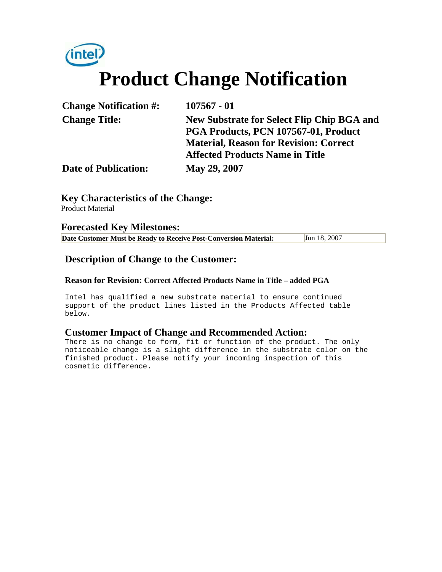

| <b>Change Notification #:</b> | $107567 - 01$                                     |
|-------------------------------|---------------------------------------------------|
| <b>Change Title:</b>          | <b>New Substrate for Select Flip Chip BGA and</b> |
|                               | PGA Products, PCN 107567-01, Product              |
|                               | <b>Material, Reason for Revision: Correct</b>     |
|                               | <b>Affected Products Name in Title</b>            |
| <b>Date of Publication:</b>   | May 29, 2007                                      |

#### **Key Characteristics of the Change:**

Product Material

#### **Forecasted Key Milestones:**

| Jun 18, 2007<br>Date Customer Must be Ready to Receive Post-Conversion Material: |
|----------------------------------------------------------------------------------|
|----------------------------------------------------------------------------------|

### **Description of Change to the Customer:**

#### **Reason for Revision: Correct Affected Products Name in Title – added PGA**

Intel has qualified a new substrate material to ensure continued support of the product lines listed in the Products Affected table below.

#### **Customer Impact of Change and Recommended Action:**

There is no change to form, fit or function of the product. The only noticeable change is a slight difference in the substrate color on the finished product. Please notify your incoming inspection of this cosmetic difference.